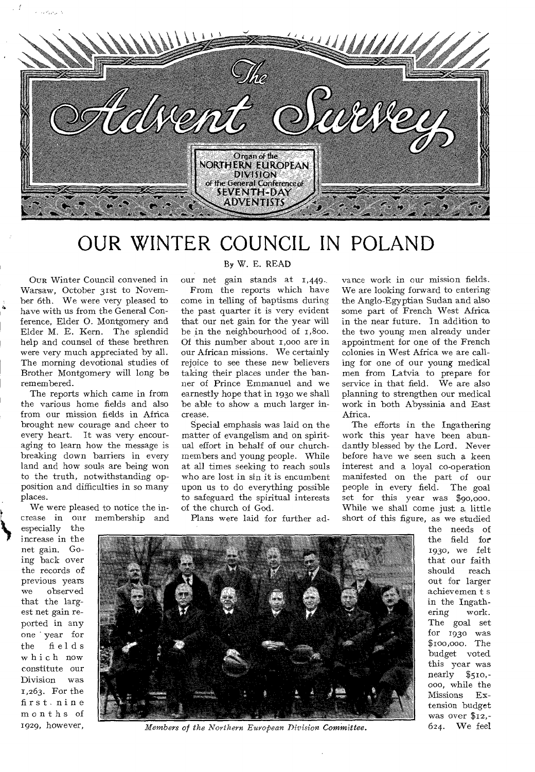

## OUR WINTER COUNCIL IN POLAND

OUR Winter Council convened in Warsaw, October 31st to November 6th. We were very pleased to have with us from the General Conference, Elder 0. Montgomery and Elder M. E. Kern. The splendid help and counsel of these brethren were very much appreciated by all. The morning devotional studies of Brother Montgomery will long be remembered.

والمراجون الدا

The reports which came in from the various home fields and also from our mission fields in Africa brought new courage and cheer to every heart. It was very encouraging to learn how the message is breaking down barriers in every land and how souls are being won to the truth, notwithstanding opposition and difficulties in so many places.

We were pleased to notice the increase in our membership and

especially the increase in the net gain. Going back over the records of previous years we observed that the largest net gain reported in any one year for the fields which now constitute our Division was 1,263. For the first nine months of 1929, however,

### By W. E. READ

our net gain stands at 1,449.. From the reports which have come in telling of baptisms during the past quarter it is very evident that our net gain for the year will be in the neighbourhood of 1,800. Of this number about 1,000 are in our African missions. We certainly rejoice to see these new believers taking their places under the banner of Prince Emmanuel and we earnestly hope that in 1930 we shall be able to show a much larger increase.

Special emphasis was laid on the matter of evangelism and on spiritual effort in behalf of our churchmembers and young people. While at all times seeking to reach souls who are lost in sin it is encumbent upon us to do everything possible to safeguard the spiritual interests of the church of God.

Plans were laid for further ad-

vance work in our mission fields. We are looking forward to enteringthe Anglo-Egyptian Sudan and also some part of French West Africa in the near future. In addition to the two young men already under appointment for one of the French colonies in West Africa we are calling for one of our young medical men from Latvia to prepare for service in that field. We are also planning to strengthen our medical work in both Abyssinia and East Africa.

The efforts in the Ingathering work this year have been abundantly blessed by the Lord. Never before have we seen such a keen interest and a loyal co-operation manifested on the part of our people in every field. The goal set for this year was \$90,000. While we shall come just a little short of this figure, as we studied

the needs of the field for 5930, we felt that our faith should reach out for larger achievemen t s in the Ingathering work. The goal set for 193o was \$roo,000. The budget voted this year was nearly \$510,- 000, while the Missions Extension budget was over \$12,- 624. We feel



*Members of the Northern European Division Committee.*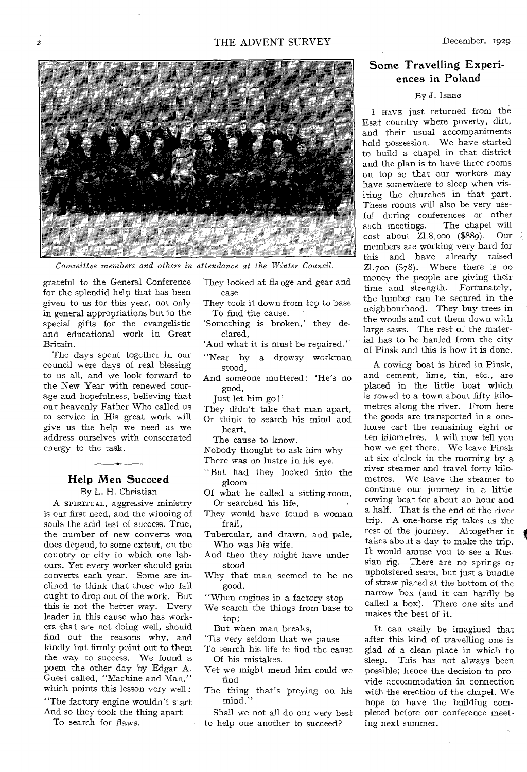

*Committee members and others in attendance at the Winter Council.* 

grateful to the General Conference for the splendid help that has been given to us for this year, not only in general appropriations but in the special gifts for the evangelistic and educational work in Great Britain.

The days spent together in our council were days of real blessing to us all, and we look forward to the New Year with renewed courage and hopefulness, believing that our heavenly Father Who called us to service in His great work will give us the help we need as we address ourselves with consecrated energy to the task.

## Help Men Succeed

By L. H. Christian

A SPIRITUAL, aggressive ministry is our first need, and the winning of souls the acid test of success. True, the number of new converts won, does depend, to some extent, on the country or city in which one labours. Yet every worker should gain converts each year. Some are inclined to think that those who fail ought to drop out of the work. But this is not the better way. Every leader in this cause who has workers that are not doing well, should find out the reasons why, and kindly but firmly point out to them the way to success. We found a poem the other day by Edgar A. Guest called, "Machine and Man," which points this lesson very well :

"The factory engine wouldn't start And so they took the thing apart

To search for flaws.

They looked at flange and gear and case

- They took it down from top to base To find the cause.
- 'Something is broken,' they declared,
- 'And what it is must be repaired.'
- "Near by a drowsy workman stood,
- And someone muttered : 'He's no good,
	- Just let him go!'
- They didn't take that man apart, Or think to search his mind and
	- heart,
	- The cause to know.
- Nobody thought to ask him why
- There was no lustre in his eye.
- "But had they looked into the gloom
- Of what he called a sitting-room, Or searched his life,

They would have found a woman frail,

Tubercular, and drawn, and pale, Who was his wife.

- And then they might have understood
- Why that man seemed to be no good.
- "When engines in a factory stop
- We search the things from base to top;
- But when man breaks,
- 'Tis very seldom that we pause
- To search his life to find the cause Of his mistakes.
- Yet we might mend him could we find
- The thing that's preying on his mind."
- Shall we not all do our very best to help one another to succeed?

## Some Travelling Experiences in Poland

### By J. Isaac

I HAVE just returned from the Esat country where poverty, dirt, and their usual accompaniments hold possession. We have started to build a chapel in that district and the plan is to have three rooms on top so that our workers may have somewhere to sleep when visiting the churches in that part. These rooms will also be very useful during conferences or other such meetings. The chapel, will cost about Z1.8,000 (\$889). Our members are working very hard for this and have already raised Z1.7oo (\$78). Where there is no money the people are giving their time and strength. Fortunately, the lumber can be secured in the neighbourhood. They buy trees in the woods and cut them down with large saws. The rest of the material has to be hauled from the city of Pinsk and this is how it is done.

A rowing boat is hired in Pinsk, and cement, lime, tin, etc., are placed in the little boat which is rowed to a town about fifty kilometres along the river. From here the goods are transported in a onehorse cart the remaining eight or ten kilometres. I will now tell you how we get there. We leave Pinsk at six o'clock in the morning by a river steamer and travel forty kilometres. We leave the steamer to continue our journey in a little rowing boat for about an hour and a half. That is the end of the river trip. A one-horse rig takes us the rest of the journey. Altogether it takes about a day to make the trip. It would amuse you to see a Russian rig. There are no springs or upholstered seats, but just a bundle of straw placed at the bottom of the narrow box (and it can hardly be called a box). There one sits and makes the best of it.

It can easily be imagined that after this kind of travelling one is glad of a clean place in which to sleep. This has not always been possible; hence the decision to provide accommodation in connection with the erection of the chapel. We hope to have the building completed before our conference meeting next summer.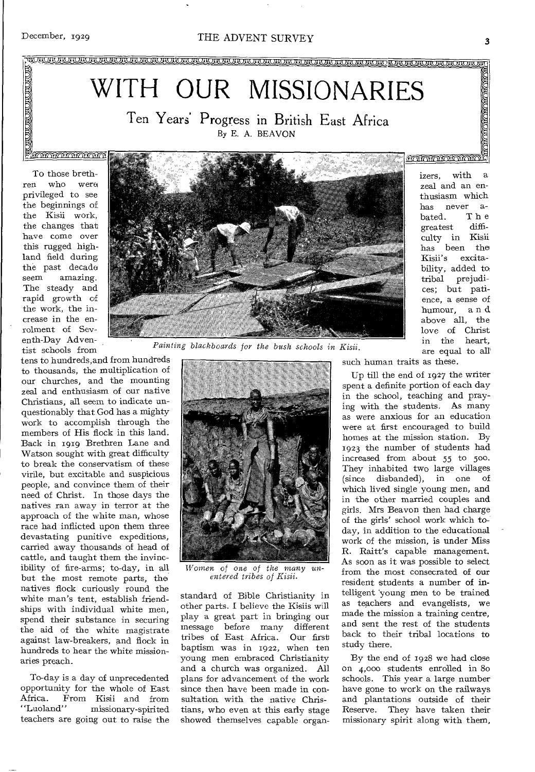## December, 1929 THE ADVENT SURVEY

) in *dividual dividual dividual dividual dividual dividual dividual dividual dividual dividual dividual dividual* 

# WITH OUR MISSIONARIES

Ten Years' Progress in British East Africa By E. A. BEAVON

To those brethren who were privileged to see the beginnings of the Kisii work, the changes that have come over this rugged highland field during the past decade seem amazing. The steady and rapid growth of the work, the increase in the enrolment of Seventh-Day Adventist schools from

 $\frac{1}{2}$ 

tens to hundreds,and from hundreds to thousands, the multiplication of our churches, and the mounting zeal and enthusiasm of our native Christians, all seem to indicate unquestionably that God has a mighty work to accomplish through the members of His flock in this land. Back in 1919 Brethren Lane and Watson sought with great difficulty to break the conservatism of these virile, but excitable and suspicious people, and convince them of their need of Christ. In those days the natives ran away in terror at the approach of the white man, whose race had inflicted upon them three devastating punitive expeditions, carried away thousands of head of cattle, and taught them the invincibility of fire-arms; to-day, in all but the most remote parts, the natives flock curiously round the white man's tent, establish friendships with individual white men, spend their substance in securing the aid of the white magistrate against law-breakers, and flock in hundreds to hear the white missionaries preach.

To-day is a day of unprecedented opportunity for the whole of East Africa. From Kisii and from<br>"Luoland" missionary-spirited missionary-spirited teachers are going out to raise the



 $Paining$  blackboards for the



*Women of one of the many anentered tribes of Kisii.* 

standard of Bible Christianity in other parts. I believe the Kisiis will play a great part in bringing our message before many different tribes of East Africa. Our first baptism was in 1922, when ten young men embraced Christianity and a church was organized. All plans for advancement of the work since then have been made in consultation with the native Christians, who even at this early stage showed themselves capable organsuch human traits as these.

Up till the end of 1927 the writer spent a definite portion of each day in the school, teaching and praying with the students. As many as were anxious for an education were at first encouraged to build homes at the mission station. By 1923 the number of students had increased from about 55 to 500. They inhabited two large villages (since disbanded), in one of which lived single young men, and in the other married couples and girls. Mrs Beavon then had charge of the girls' school work which today, in addition to the educational work of the mission, is under Miss R. Raitt's capable management. As soon as it was possible to select from the most consecrated of our resident students a number of intelligent young men to be trained as teachers and evangelists, we made the mission a training centre, and sent the rest of the students back to their tribal locations to study there.

By the end of 1928 we had close on 4,000 students enrolled in 8o schools. This year a large number have gone to work on the railways and plantations outside of their Reserve. They have taken their missionary spirit along with them,

izers, with a zeal and an enthusiasm which has never a-<br>bated. The bated. The<br>greatest diffigreatest culty in Kisii has been the<br>Kisii's excitaexcitability, added to tribal prejudices; but patience, a sense of humour, a n d above all, the love of Christ in the heart, *Kisii.* are equal to all'

**MAMAMAMAMAMA** 

**THE STATE OF STATE**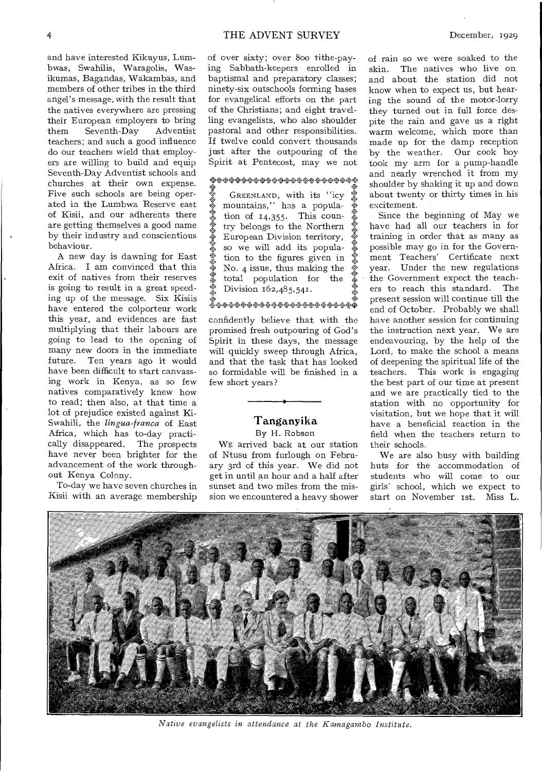and have interested Kikuyus, Lumbwas, Swahilis, Waragolis, Wasikumas, Bagandas, Wakambas, and members of other tribes in the third angel's message, with the result that the natives everywhere are pressing their European employers to bring<br>them Seventh-Day Adventist  $them$  Seventh-Day teachers; and such a good influence do our teachers wield that employers are willing to build and equip Seventh-Day Adventist schools and churches at their own expense. Five such schools are being operated in the Lumbwa Reserve east of Kisii, and our adherents there are getting themselves a good name by their industry and conscientious behaviour.

A new day is dawning for East Africa. I am convinced that this exit of natives from their reserves is going to result in a great speeding up of the message. Six Kisiis have entered the colporteur work this year, and evidences are fast multiplying that their labours are going to lead to the opening of many new doors in the immediate future. Ten years ago it would have been difficult to start canvassing work in Kenya, as so few natives comparatively knew how to read; then also, at that time a lot of prejudice existed against Ki-Swahili, the *lingua-franca* of East Africa, which has to-day practically disappeared. The prospects have never been brighter for the advancement of the work throughout Kenya Colony.

To-day we have seven churches in Kisii with an average membership of over sixty; over Boo tithe-paying Sabbath-keepers enrolled in baptismal and preparatory classes; ninety-six outschools forming bases for evangelical efforts on the part of the Christians; and eight travelling evangelists, who also shoulder pastoral and other responsibilities. If twelve could convert thousands just after the outpouring of the Spirit at Pentecost, may we not

#### \*\*\*\*\*\*\*\*\*\*\*\*\*\*\*\*\*\*\*\*\*\*\*\*

•<br>※※※※ **なゆゆぬる** \*※※ **シャマネット »ቀቀምም።**<br>ም 冬夜晚! • ※ GREENLAND, with its "icv mountains," has a population of  $14,355$ . This coun-. try belongs to the Northern European Division territory, so we will add its popula tion to the figures given in • No. 4 issue, thus making the • total population for the Division 162,485,541. • 4\* 44.4,4444444,4444444, 4\*.4,444\*

confidently believe that with the promised fresh outpouring of God's Spirit in these days, the message will quickly sweep through Africa, and that the task that has looked so formidable will be finished in a few short years?

## Tanganyika

#### By H. Robson

WE arrived back at our station of Ntusu from furlough on February 3rd of this year. We did not get in until an hour and a half after sunset and two miles from the mission we encountered a heavy shower

of rain so we were soaked to the skin. The natives who live on and about the station did not know when to expect us, but hearing the sound of the motor-lorry they turned out in full force despite the rain and gave us a right warm welcome, which more than made up for the damp reception by the weather. Our cook boy took my arm for a pump-handle and nearly wrenched it from my shoulder by shaking it up and down about twenty or thirty times in his excitement.

Since the beginning of May we have had all our teachers in for training in order that as many as possible may go in for the Government Teachers' Certificate next year. Under the new regulations the Government expect the teachers to reach this standard. The present session will continue till the end of October. Probably we shall have another session for continuing the instruction next year. We are endeavouring, by the help of the Lord, to make the school a means of deepening the spiritual life of the teachers. This work is engaging the best part of our time at present and we are practically tied to the station with no opportunity for visitation, but we hope that it will have a beneficial reaction in the field when the teachers return to their schools.

We are also busy with building huts for the accommodation of students who will come to our girls' school, which we expect to start on November 1st. Miss L.



*Native evangelists in attendance at the Kamagambo Institute.*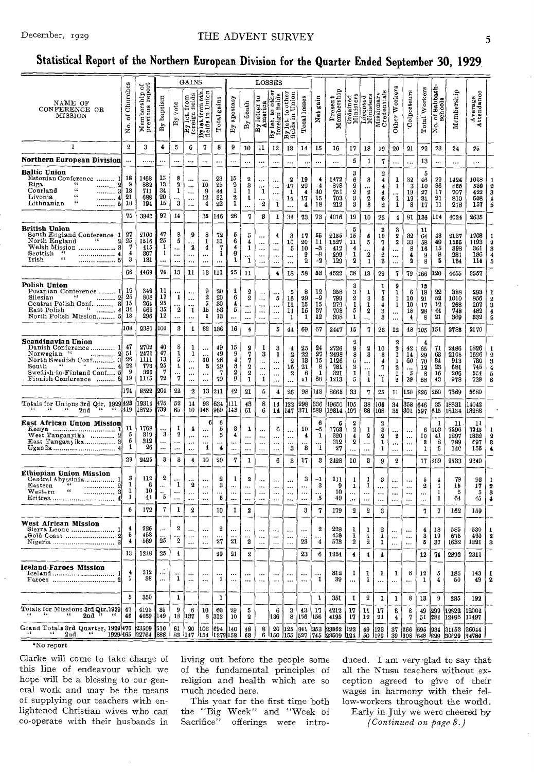#### THE ADVENT SURVEY

## Statistical Report of the Northern European Division for the Quarter Ended September 30, 1929

|                                                                                                                                                                              |                                 |                                            |                                         |                                                                 | GAINS                                                    |                                                             |                                  |                                                  |                                                                                 | LOSSES                                                      |                                                        |                                                              |                                       |                                |                                            |                                                                          |                                       |                                                          |                                                                              |                                                  |                                      |                                        |                                                      |                                          |                            |
|------------------------------------------------------------------------------------------------------------------------------------------------------------------------------|---------------------------------|--------------------------------------------|-----------------------------------------|-----------------------------------------------------------------|----------------------------------------------------------|-------------------------------------------------------------|----------------------------------|--------------------------------------------------|---------------------------------------------------------------------------------|-------------------------------------------------------------|--------------------------------------------------------|--------------------------------------------------------------|---------------------------------------|--------------------------------|--------------------------------------------|--------------------------------------------------------------------------|---------------------------------------|----------------------------------------------------------|------------------------------------------------------------------------------|--------------------------------------------------|--------------------------------------|----------------------------------------|------------------------------------------------------|------------------------------------------|----------------------------|
| NAME OF<br>CONFERENCE OR<br>MISSION                                                                                                                                          | Churches<br>៵<br>Хo.            | Membership of<br>previous report           | baptism<br>$\mathbf{B}$                 | vote<br>By                                                      | fields<br>from<br>By let.<br>foreign:                    | Bylet.from oth<br>fields in Union                           | gains<br>Total                   | apostasy<br>$_{\rm By}$                          | death<br>$\mathbf{B}$                                                           | 3<br>America<br>By letter                                   | othe:<br>elds<br>₽<br>l S<br>By let, to<br>foreign     | By let. to other<br>fields in Union                          | Total losses                          | gain<br>Net                    | Ω<br>Present<br>Membership                 | Ordained<br>Ministers                                                    | Licensed<br>Ministers                 | Missionary<br>Credentials                                | Other Workers                                                                | Colporteurs                                      | Workers<br>Total <sup>1</sup>        | Sabbath-<br>of Babba<br>schools<br>No. | Membership                                           | Average<br>Attendance                    |                            |
| 1                                                                                                                                                                            | $\mathbf{2}$                    | 3                                          | 4                                       | 5                                                               | 6                                                        | 7                                                           | 8                                | 9                                                | 10                                                                              | 11                                                          | 12                                                     | 13                                                           | 14                                    | 15                             | 16                                         | 17                                                                       | 18                                    | 19                                                       | 20                                                                           | 21                                               | 22                                   | 23                                     | 24                                                   | 25                                       |                            |
| Northern European Division                                                                                                                                                   |                                 |                                            | $\ddotsc$                               |                                                                 |                                                          |                                                             |                                  | $\ddotsc$                                        |                                                                                 |                                                             | $\ddotsc$                                              |                                                              | $\ddotsc$                             |                                | $\ddotsc$                                  | 5                                                                        | 1                                     | 7                                                        | $\ddotsc$                                                                    | $\ddotsc$                                        | 13                                   |                                        | $\ddotsc$                                            | $\ddotsc$                                |                            |
| Baltic Union<br>Estonian Conference  1<br>Riga.<br>$\ddotsc$<br>.<br>$\epsilon$<br>Courland<br><br>65<br>Livonia<br>4<br><br>56<br>Lithuanian<br>. 5                         | 18<br>8<br>18<br>21<br>10       | 1468<br>882<br>711<br>688<br>194           | 15<br>13<br>34<br>20<br>15              | 8<br>2<br>$\mathbf 1$<br>$\ddotsc$<br>$\bf{3}$                  | <br>$\cdots$<br>$\ddotsc$<br>$\ddotsc$<br>$\cdots$       | 10<br>9<br>12<br>$\overline{\mathbf{4}}$                    | 23<br>25<br>44<br>32<br>22       | 15<br>9<br>1<br>$\bf{2}$<br>$\mathbf 1$          | $\boldsymbol{2}$<br>3<br>1<br>1<br>                                             | <br><br>$\mathbf{1}$<br><br>$\boldsymbol{2}$                | $\ddotsc$<br>$\ddotsc$<br>$\cdots$<br><br>$\mathbf{1}$ | 2<br>17<br>1<br>14<br>$\dddotsc$                             | 19<br>29<br>4<br>17<br>4              | €<br>-4<br>40<br>15<br>18      | 1472<br>878<br>751<br>703<br>212           | 3<br>6<br>2<br>2<br>3<br>3                                               | 3<br>.<br>2<br>2<br>3                 | $\boldsymbol{2}$<br>4<br>4<br>4<br>6<br>$\boldsymbol{2}$ | 1<br>1<br>.<br>1<br>1                                                        | 32<br>3<br>19<br>19<br>8                         | 5<br>46<br>10<br>27<br>31<br>17      | 29<br>36<br>17<br>$^{21}$<br>11        | 1424<br>865<br>707<br>810<br>218                     | 1018<br>530<br>422<br>508<br>157         | 6                          |
|                                                                                                                                                                              | 76                              | 3942                                       | 97                                      | 14                                                              |                                                          | 35                                                          | 146                              | 28                                               | 7                                                                               | 3                                                           | 1                                                      | 34                                                           | 73                                    | 73                             | 4016                                       | 19                                                                       | 10                                    | 22                                                       | $\overline{\mathbf{4}}$                                                      | 81                                               | 136                                  | 114                                    | 4024                                                 | 2635                                     |                            |
| British Union<br>South England Conference 1<br>North England<br>66<br>2<br>Welsh Mission<br>з<br>Scottish<br>- 44<br>.<br>65<br>Irish<br>. 5                                 | 27<br>25<br>7<br>4<br>3         | 2100<br>1516<br>415<br>307<br>131          | 47<br>25<br>1<br>1<br>$\ddotsc$         | 8<br>5<br><br><br>                                              | 9<br>2<br>$\cdots$<br>$\ddotsc$                          | 8<br>1<br>4<br><br>$\cdots$                                 | 72<br>31<br>7<br>1<br>           | 5<br>6<br>4<br>9<br>1                            | 5<br>4<br>1<br><br>1                                                            | <br>$\ddotsc$<br><br><br>                                   | 4<br>$\cdots$<br><br>$\ddotsc$<br>$\cdots$             | 3<br>10<br>5<br><br>                                         | 17<br>20<br>10<br>9<br>2              | 55<br>11<br>-3<br>$-8$<br>-2   | 2155<br>1527<br>412<br>299<br>129          | 5<br>15<br>11<br>4<br>1<br>2                                             | 5<br>5<br>2<br>1                      | 3<br>10<br>7<br>4<br>2<br>3                              | 3<br>2<br>$\boldsymbol{2}$<br><br>$\cdots$<br>$\ddotsc$                      | 32<br>33<br>8<br>4<br>2                          | 11<br>64<br>58<br>16<br>9<br>8       | 43<br>49<br>15<br>8<br>5               | 2137<br>1555<br>398<br>231<br>184                    | 1703<br>1193<br>361<br>186<br>114        | я<br>Б                     |
|                                                                                                                                                                              | 66                              | 4469                                       | 74                                      | 13                                                              | 11                                                       | 13                                                          | 111                              | 25                                               | 11                                                                              |                                                             | 4                                                      | 18                                                           | 58                                    | 53                             | 4522                                       | 38                                                                       | 13                                    | 29                                                       | 7                                                                            | 79                                               | 166                                  | 20                                     | 4455                                                 | 3557                                     |                            |
| Polish Union<br>Posanian Conference 1<br>$\epsilon$ s<br>Silesian<br><br>Central Polish Conf.<br>8<br>$\mathbf{F}$ and $\mathbf{F}$<br>East Polish<br>North Polish Mission 5 | 16<br>25<br>15<br>34<br>18      | 346<br>808<br>264<br>666<br>296            | 11<br>17<br>25<br>35<br>12              | 1<br><br>2<br>                                                  | $\cdots$<br><br><br>$\mathbf 1$<br>$\ddotsc$             | $\frac{9}{2}$<br>5<br>15<br>1                               | 20<br>20<br>30<br>53<br>13       | $\pmb{\mathfrak{m}}$<br>6<br>4<br>5<br>$\ddotsc$ | 2<br>2<br><br><br>                                                              | $\cdots$<br>$\ddotsc$<br>$\ddotsc$<br>$\ddotsc$<br>$\cdots$ | $\cdots$<br>5<br>$\ddotsc$<br>$\ddotsc$<br>$\ddotsc$   | 5<br>16<br>11<br>11<br>1                                     | 8<br>29<br>15<br>16<br>1              | 12<br>$-9$<br>15<br>87<br>12   | 358<br>799<br>279<br>703<br>308            | 3<br>3<br>2<br>1<br>5<br>1                                               | ı<br>3<br>1<br>2<br>                  | 1<br>7<br>5<br>4<br>3<br>3                               | 9<br>1<br>1<br>1<br><br>                                                     | 6<br>10<br>10<br>18<br>4                         | 18<br>18<br>21<br>17<br>28<br>8      | 22<br>52<br>12<br>44<br>21             | 388<br>1010<br>268<br>748<br>369                     | 293<br>856<br>207<br>482<br>832          | 8<br>4<br>5                |
|                                                                                                                                                                              | 108                             | 2330                                       | 100                                     | 3                                                               | 1                                                        | 32                                                          | 136                              | 16                                               | 4                                                                               |                                                             | 5                                                      | 44                                                           | 69                                    | 67                             | 2447                                       | 15                                                                       | 7                                     | 23                                                       | 12                                                                           | 48                                               | 105                                  | 151                                    | 2783                                                 | 2170                                     |                            |
| Scandinavian Union<br>1<br>Danish Conference<br>Norwegian "<br>.<br>North Swedish Conf 3<br>$\mathbf{L}$<br>South<br>Swedi-h-in-Finland Conf<br>5<br>Finnish Conference      | 47<br>51<br>26<br>22<br>9<br>19 | 2702<br>2471<br>1111<br>778<br>320<br>1145 | 40<br>47<br>13<br>25<br>7<br>72         | 8<br>1<br>5<br>1<br><br>7                                       | 1<br>1<br>$\cdots$<br>$\ddotsc$<br>$\cdots$<br>$\ddotsc$ | $\ddotsc$<br>$\ddotsc$<br>10<br>3<br>$\ddotsc$<br>$\ddotsc$ | 49<br>49<br>28<br>29<br>-7<br>79 | 15<br>9<br>4<br>3<br>2<br>9                      | 2<br>7<br>7<br>2<br>$\boldsymbol{2}$<br>1                                       | 1<br>3<br><br><br><br>1                                     | 3<br>1<br>$\ddotsc$<br>$\ddotsc$                       | $\overline{4}$<br>$\boldsymbol{2}$<br>$\mathbf 2$<br>16<br>2 | 25<br>$^{22}$<br>13<br>21<br>-6<br>11 | 24<br>27<br>15<br>8<br>1<br>68 | 2726<br>2498<br>1126<br>781<br>321<br>1213 | $\boldsymbol{2}$<br>9<br>8<br>5<br>3<br>1<br>5                           | 2<br>3<br><br>1<br>1                  | 10<br>3<br>4<br>7<br>ï                                   | $\boldsymbol{2}$<br>2<br>1<br>1<br>$\pmb{2}$<br>1<br>$\overline{\mathbf{2}}$ | 42<br>14<br>60<br>$\ddotsc$<br>5<br>29           | 4<br>65<br>29<br>70<br>12<br>8<br>38 | 71<br>63<br>34<br>23<br>16<br>43       | 2486<br>2105<br>913<br>681<br>206<br>978             | 1826<br>1696<br>730<br>745<br>554<br>729 | 8<br>4<br>5<br>6           |
|                                                                                                                                                                              | 174                             | 8522                                       | 204                                     | 22                                                              | $\boldsymbol{2}$                                         | 13                                                          | 241                              | 42                                               | 21                                                                              | 5                                                           | $\overline{\mathbf{4}}$                                | 26                                                           | 98                                    | 143                            | 8665                                       | 33                                                                       | 7                                     | 25                                                       | 11                                                                           | 150                                              | 226                                  | 250                                    | 7369                                                 | 5680                                     |                            |
| Totals for Unions 3rd Qtr. 1929 428<br>66<br>55<br>$55 -$<br>2nd<br>66<br>- 64                                                                                               | 419                             | 19314<br>18725                             | 475<br>739                              | 52<br>65                                                        | 14<br>10                                                 | 93<br>146                                                   | 634<br>960                       | 111<br>1143                                      | 43<br>61                                                                        | 8<br>6                                                      | 14<br>14                                               | 122<br>147                                                   | 298<br>371                            | 336<br>589                     | 19650<br>19314                             | 105<br>107                                                               | 38<br>38                              | 106<br>.08                                               | 34<br>35                                                                     | 358<br>301                                       | 646<br>597                           | 35<br>615                              | 18631<br>18134                                       | 14042<br>13283                           |                            |
| East African Union Mission<br>Кепуа  1<br>West Tanganyika<br>East Tangan ika 3                                                                                               | 11<br>5<br>6<br>1<br>23         | 1768<br>319<br>312<br>26<br>2425           | <br>3<br><br>$\ddotsc$<br>3             | 1<br>$\boldsymbol{2}$<br>$\ddotsc$<br>$\ddot{\phantom{a}}$<br>3 | 4<br>$\ddotsc$<br><br>4                                  | 6<br>$\ddotsc$<br>$\ddotsc$<br>4<br>10                      | 6<br>5<br>5<br>4<br>$20\,$       | 3<br>4<br>7                                      | 1<br><br><br><br>1                                                              | <br><br><br>                                                | 6<br>$\ddotsc$<br>$\cdots$<br><br>6                    | <br>$\ddotsc$<br>3<br>3                                      | 10<br>4<br>3<br>17                    | 6<br>-5<br>1<br><br>1<br>3     | 6<br>1769<br>320<br>312<br>27<br>2428      | 2<br>$\overline{\mathbf{2}}$<br>$\boldsymbol{4}$<br>2<br>$\ddotsc$<br>10 | 1<br>2<br>$\ddotsc$<br>$\ddotsc$<br>3 | 2<br>3<br>$\overline{2}$<br>1<br>1<br>9                  | <br>2<br><br>$\ddotsc$<br>$\overline{2}$                                     | $\ddotsc$<br>$\ddotsc$<br>$\ddotsc$<br>$\ddotsc$ | 6<br>10<br>3<br>$\mathbf{I}$<br>17   | 1<br>153<br>41<br>8<br>6<br>209        | 11<br>7296<br>1297<br>789<br>14 <sub>C</sub><br>9533 | 11<br>7245<br>1332<br>€97<br>155<br>9240 | 2<br>3<br>4                |
| Ethiopian Union Mission                                                                                                                                                      |                                 |                                            |                                         |                                                                 |                                                          |                                                             |                                  |                                                  |                                                                                 |                                                             |                                                        |                                                              |                                       |                                |                                            |                                                                          |                                       |                                                          |                                                                              |                                                  |                                      |                                        |                                                      |                                          |                            |
| Central Abyssinia<br>66<br>Eastern<br>.<br>$\epsilon$<br>$W$ est $\epsilon$ rn<br>.<br>Eritrea                                                                               | 3<br>1<br>ı<br>1<br>6           | 112<br>6<br>10<br>44<br>172                | $\boldsymbol{2}$<br>$\ddotsc$<br>5<br>7 | 1<br><br>1                                                      | 2<br>$\ddotsc$<br><br>$\boldsymbol{2}$                   | <br>                                                        | $\overline{2}$<br>3<br>5         | 1<br>$\cdots$                                    | $\overline{\mathbf{2}}$<br><br>$\ddotsc$<br>$\cdots$<br>$\overline{\mathbf{2}}$ | <br><br><br>                                                | $\ddotsc$<br>$\cdots$<br>$\cdots$<br>$\ddotsc$         | $\ddotsc$<br>$\ddotsc$<br>$\ldots$<br>$\ddotsc$              | 3<br><br><br>                         | -1<br>3<br>$\cdots$<br>5       | 111<br>9<br>10<br>49                       | 1<br>ı<br>$\cdots$<br>                                                   | 1<br>1<br>$\cdots$<br>$\cdots$        | 3<br><br>$\cdots$<br>                                    | <br>$\ddotsc$<br><br>                                                        | $\ddotsc$<br><br>$\cdots$<br>$\ddotsc$           | õ<br>$\overline{2}$<br><br>          | 4<br>1<br>1<br>1                       | 78<br>15<br>5<br>64                                  | 92<br>17<br>5<br>45                      | $\boldsymbol{2}$<br>3<br>4 |
|                                                                                                                                                                              |                                 |                                            |                                         |                                                                 |                                                          |                                                             | 10                               | 1                                                |                                                                                 |                                                             |                                                        |                                                              | 3                                     | 7                              | 179                                        | $\overline{2}$                                                           | 2                                     | 3                                                        |                                                                              |                                                  | 7                                    | 7                                      | 162                                                  | 159                                      |                            |
| West African Mission<br>പ<br>Gold Coast                                                                                                                                      | 4<br>5<br>4<br>13               | 226<br>453<br>569<br>1248                  | 25<br>25                                | $\overline{2}$<br>2<br>$\overline{\mathbf{4}}$                  | $\cdots$                                                 | $\ddotsc$<br>$\cdots$                                       | $\boldsymbol{2}$<br>27<br>29     | 21                                               | $\cdots$<br>2                                                                   | <br>                                                        | $\ddotsc$<br>$\ddotsc$                                 | $\cdots$<br>$\ddotsc$                                        | $\cdots$<br>23                        | $\,2\,$<br>4                   | 228<br>453<br>573                          | 1<br>1<br>2                                                              | 1<br>2                                | $\overline{2}$<br>ı<br>$\mathbf{I}$                      | $\cdots$<br>$\ldots$                                                         | $\cdots$<br>$\ldots$                             | 4<br>3<br>5                          | 18<br>19<br>37                         | 585<br>675<br>1632                                   | 530<br>460.<br>1821                      | 1<br>2<br>3                |
|                                                                                                                                                                              |                                 |                                            |                                         |                                                                 |                                                          |                                                             |                                  | 21                                               | $\mathbf 2$                                                                     |                                                             |                                                        |                                                              | 23                                    | 6                              | 1254                                       | 4                                                                        | 4                                     | $\overline{\mathbf{4}}$                                  |                                                                              |                                                  | 12                                   | 74                                     | 2892                                                 | 2311                                     |                            |
| Iceland Faroes Mission<br>Iceland<br>-1<br>Faroes                                                                                                                            | 4<br>1                          | 312<br>38                                  | $\ddotsc$<br>$\ddotsc$                  | <br>1                                                           | $\cdots$                                                 | $\ddotsc$                                                   | $\ddotsc$<br>-1                  |                                                  |                                                                                 |                                                             |                                                        |                                                              | $\ddotsc$                             | $\cdots$<br>1                  | 312<br>39                                  | $\mathbf{I}$<br>$\ddotsc$                                                | 1<br>1                                | 1                                                        | 1<br>                                                                        | 8                                                | 12<br>1                              | 5<br>4                                 | 185<br>50                                            | 143<br>49                                | -1<br>2                    |
|                                                                                                                                                                              | 5                               | 350                                        |                                         | 1                                                               |                                                          |                                                             | 1                                |                                                  |                                                                                 |                                                             |                                                        |                                                              |                                       | 1                              | 351                                        | 1                                                                        | $\boldsymbol{2}$                      | 1                                                        | 1                                                                            | 8                                                | 13                                   | 9                                      | 235                                                  | 192                                      |                            |
| Totals for Missions <b>3rd Qtr.1929</b><br>$-66$<br>55<br>$\cdots$ 2nd $\cdots$<br>$-66$                                                                                     | 47<br>46                        | 4195<br>4039 149                           | 35                                      | 9                                                               | 6<br>18 137                                              | 10<br>-8                                                    | 60<br>312                        | 29<br>10                                         | 5<br>2                                                                          |                                                             | 6<br>136                                               | з<br>8                                                       | 43<br>156                             | 17<br>156                      | 4212<br>4195                               | 17<br>17                                                                 | 11<br>12                              | 17<br>$^{21}$                                            | 8<br>4                                                                       | 8<br>7                                           | 49<br>51                             | 299                                    | 12822<br>284 12495                                   | 12002<br>11497                           |                            |
| Grand Totals 3rd Quarter, 1929 470<br>$\cdot$ 2nd<br>65                                                                                                                      |                                 | 23509 510<br>1929 465 22764 888            |                                         | 61                                                              | $20\,$<br>83 1147 1154 11272 153                         | 103                                                         | 1694                             | 140                                              | 48<br>63                                                                        | 8                                                           | 20                                                     | 125                                                          | 341                                   | 353                            | 23862<br>6 450 1155 527 745 23509 1124 1   | 122                                                                      | 49                                    | 123<br>50 1129                                           | 37                                                                           | 366                                              | 695                                  |                                        | 934   31453<br>39 308 648 899 30629                  | 26044<br>24780                           |                            |
| $*N$ c ronart                                                                                                                                                                |                                 |                                            |                                         |                                                                 |                                                          |                                                             |                                  |                                                  |                                                                                 |                                                             |                                                        |                                                              |                                       |                                |                                            |                                                                          |                                       |                                                          |                                                                              |                                                  |                                      |                                        |                                                      |                                          |                            |

No report

Clarke will come to take charge of this line of endeavour which we hope will be a blessing to our general work and may be the means of supplying our teachers with enlightened Christian wives who can co-operate with their husbands in

living out before the people some of the fundamental principles of religion and health which are so much needed here.

This year for the first time both the "Big Week" and "Week of Sacrifice" offerings were introduced. I am very glad to say that all the Ntusu teachers without exception agreed to give of their wages in harmony with their fellow-workers throughout the world. Early in July we were cheered by

(Continued on page 8.)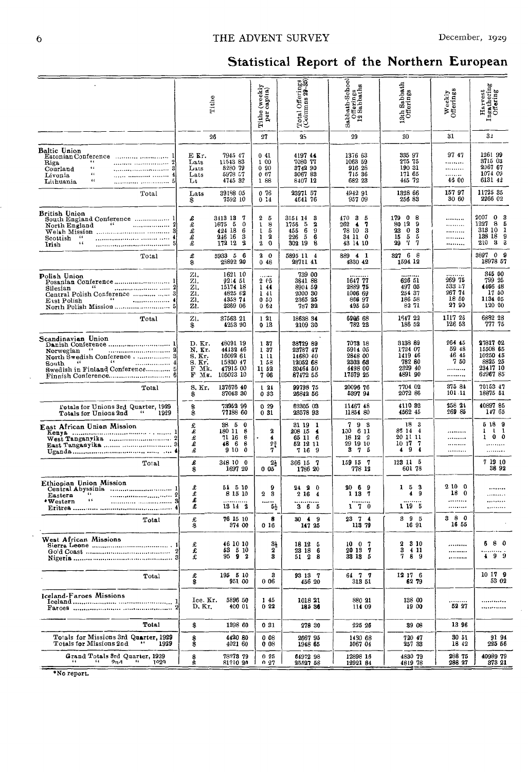## THE ADVENT SURVEY

## Statistical Report of the Northern European

|                                                                                                                                                           |                                                              | Tithe                                                                    | (weekly<br>capita)<br>Tithe<br>per                       | Total Offerings<br>(Columns 29-35)                                                                     | $\begin{bmatrix} \texttt{Subath-Schoo} \\ \texttt{Oftevings} \\ \texttt{12}\texttt{Subpaths} \end{bmatrix}$ | 13th Sabbath<br>Offerings                                                         | Weekly<br>Offerings                          | b.<br>Harvest<br>Ingathering<br>Offering                                               |
|-----------------------------------------------------------------------------------------------------------------------------------------------------------|--------------------------------------------------------------|--------------------------------------------------------------------------|----------------------------------------------------------|--------------------------------------------------------------------------------------------------------|-------------------------------------------------------------------------------------------------------------|-----------------------------------------------------------------------------------|----------------------------------------------|----------------------------------------------------------------------------------------|
|                                                                                                                                                           |                                                              | 26                                                                       | 27                                                       | 25                                                                                                     | 29                                                                                                          | 30                                                                                | 31                                           | 31                                                                                     |
| Baltic Union<br>66<br>Riga<br>$\epsilon$<br>Courland<br>$\epsilon$<br>Livonia<br>$\epsilon$<br>Lithuania<br>5                                             | E Kr.<br>Lats<br>Lats<br>Lats<br>Lt                          | 7945 47<br>11543 83<br>8280 79<br>5978 57<br>4745 32                     | 041<br>1 00<br>090<br>0.67<br>188                        | 419744<br>7080 77<br>3742 90<br>3067 83<br>8407 12                                                     | 1376 63<br>1063 59<br>916 28<br>715 36<br>682 23                                                            | 335 97<br>275 75<br>190 31<br>171 65<br>445 72                                    | 9747<br><br><br><br>45 00                    | 1261 99<br>3715 03<br>2067 67<br>1074 09<br>6131 42                                    |
| Total                                                                                                                                                     | Lats<br>\$                                                   | 39188 05<br>7592 10                                                      | 076<br>0 14                                              | 23971 57<br>4641 76                                                                                    | 4942 91<br>957 09                                                                                           | 1328 66<br>256 83                                                                 | 15797<br>30 60                               | 11725 35<br>2266 02                                                                    |
| British Union<br>South England Conference  1<br>$-66$<br>North England<br>Scottish<br>$\bullet$<br>$\sim$<br>,,,,,,,,,,,,,,,,,,,,,,,,,,,,,,,,,,,<br>Irish | £<br>£<br>£<br>£<br>£                                        | 3413 13<br>7<br>1675 5<br>0<br>424 18<br>6<br>246 16<br>з<br>172 12<br>2 | 2<br>5<br>ı<br>8<br>1<br>5<br>2<br>ı<br>$\mathbf 2$<br>0 | 3154 14<br>3<br>$\overline{\mathbf{2}}$<br>1756<br>-5<br>455<br>6<br>9<br>226<br>5<br>6<br>302 19<br>8 | 470<br>-3<br>-5<br>262<br>7<br>$\blacktriangleleft$<br>78 10<br>-3<br>34 11 0<br>43 14 10                   | 179 0 8<br>80 12<br>9<br>23<br>$\mathbf{0}$<br>3<br>15<br>5<br>-5<br>Ч<br>7<br>29 | .<br><br><br><br>                            | 2007<br>$\bf{0}$<br>3<br>1227<br>8<br>5<br>313 10<br>1<br>133 18<br>9<br>3<br>210<br>з |
| Total                                                                                                                                                     | £<br>\$                                                      | 5933 5 6<br>25892 20                                                     | 20<br>0.48                                               | 5895 11 4<br>2871141                                                                                   | 889 4 1<br>4330 42                                                                                          | 327 6 8<br>1594 12                                                                |                                              | 3897 0 9<br>18978 57                                                                   |
| Polish Union<br>Posanian Conference 1<br>44<br>Silesian<br>Central Polish Conference   3<br>$-6.6$<br>$\frac{1}{4}$<br>$E$ sst $P$ olish                  | ZI.<br>ZI.<br>Zl.<br>ZI.<br>ZI.<br>21.                       | 1621 10<br>9214 51<br>15174 18<br>4825 62<br>4358 74<br>2369 06          | 205<br>144<br>141<br>050<br>062                          | 739 00<br>3841 88<br>8904 59<br>2000 30<br>2365 25<br>787 32                                           | 1647 77<br>2889 75<br>1006 69<br>866 97<br>495 50                                                           | 626 51<br>497 05<br>254 37<br>186 58<br>82 71                                     | 269 75<br>533 17<br>267 74<br>18 50<br>27 90 | 345 00<br>799 25<br>4466 48<br>17 50<br>1134 05<br>120 00                              |
| Total                                                                                                                                                     | zı.<br>\$                                                    | 37563 21<br>4253 90                                                      | 121<br>013                                               | 18638 34<br>2109 30                                                                                    | 6906 68<br>782 23                                                                                           | 1647 22<br>186 52                                                                 | 1117 26<br>126 53                            | 6882 28<br>777 75                                                                      |
| Scandinavian Union<br>Danish Conference  1<br>66<br>Norwegian<br>North Swedish Conference 3<br>$-66$<br>66<br>South<br>Swedish in Finland Conference 5    | D. Kr.<br>N. Kr.<br>S. Kr.<br>S. Kr.<br>F<br>Мk.<br>F<br>Mĸ. | 48091 19<br>44132 46<br>16092 61<br>15330 47<br>47915 00<br>105023 10    | 187<br>1 37<br>111<br>1 58<br>11 52<br>7 06              | 38729 89<br>23787 47<br>14680 40<br>12052 68<br>80464 50<br>87472 55                                   | 7073 18<br>5914 05<br>2848 00<br>2303 63<br>4498 00<br>17579 25                                             | 3138 89<br>1724 07<br>141946<br>782 80<br>2329 40<br>4891 90                      | 264 45<br>59 48<br>4645<br>750<br><br>       | 27817 02<br>15508 65<br>10250 45<br>8825 25<br>23417 10<br>6296785                     |
| Total                                                                                                                                                     | S. Kr.<br>\$                                                 | 137676 40<br>87048 30                                                    | 124<br>033                                               | 99798 75<br>26842 56                                                                                   | 20096 76<br>5397 94                                                                                         | 7704 02<br>2072 86                                                                | 375 81<br>101.11                             | 70153 47<br>18875 51                                                                   |
| Totals for Unions 3rd Quarter, 1929<br>Totals for Unions 2nd<br>1929                                                                                      | \$                                                           | 73952 99<br>77188 60                                                     | 0.29<br>031                                              | 62305 03<br>23578 93                                                                                   | 11467 48<br>11854 80                                                                                        | 4110 32<br>4562 45                                                                | 258 24<br>269 85                             | 40897 85<br>147 65                                                                     |
| East African Union Mission                                                                                                                                | £<br>£<br>£<br>£<br>£                                        | 38 5 0<br>180 11 8<br>71 16<br>-8<br>48 6<br>8<br>9 10<br>$\mathbf 0$    | 2<br>4<br>$2\frac{3}{4}$<br>7                            | 31 19 1<br>208 15 4<br>65 11 6<br>52 12 11<br>7169                                                     | 9 <sub>8</sub><br>7<br>100 6 11<br>18 12 2<br>29 19 10<br>$3 \t7 \t5$                                       | 18 3<br>85 14 4<br>20 11 11<br>10 17 7<br>49<br>$\blacktriangleleft$              | <br><br><br>                                 | 5189<br>$1 \quad 1 \quad 1$<br>$1 \t0 \t0$<br>                                         |
| Total                                                                                                                                                     | £<br>\$                                                      | 348 10 0<br>1697 20                                                      | $2\frac{1}{2}$<br>005                                    | 366 15 7<br>1786 20                                                                                    | 159 15 7<br>778 12                                                                                          | 123 11 5<br>601 78                                                                |                                              | 7 19 10<br>38 92                                                                       |
| Ethiopian Union Mission<br>65<br>Eastern<br>$\boldsymbol{*}$ Western                                                                                      | £<br>ï<br>L<br>£                                             | 54 5 10<br>8 15 10<br>13142                                              | 9<br>23<br>5층                                            | 24, 20<br>2164<br>3 6 5                                                                                | 2069<br>1 13 7<br>$1 \t7 \t0$                                                                               | 1 5 3<br>49<br>1195                                                               | 2100<br>18 <sub>0</sub><br><br>              | <br>.<br><br>.                                                                         |
| Total                                                                                                                                                     | 恶象                                                           | 76 15 10<br>374 00                                                       | 8<br>016                                                 | 30 4 9<br>147 25                                                                                       | $23 \t7 \t4$<br>113 79                                                                                      | 395<br>16 91                                                                      | 380<br>16 55                                 |                                                                                        |
| West African Missions                                                                                                                                     | £<br>£                                                       | 46 10 10<br>53 5 10<br>9592                                              | 31<br>2<br>3                                             | 18 12 5<br>23 18 6<br>51 2 8                                                                           | 1007<br>20137<br>33 13 5                                                                                    | 2 3 10<br>3 4 11<br>789                                                           | <br><br>                                     | 680<br><br>499                                                                         |
| Total                                                                                                                                                     | 北非                                                           | 195 5 10<br>951 00                                                       | 3<br>006                                                 | 93 13 7<br>456 20                                                                                      | 6177<br>313 51                                                                                              | 12 17 6<br>62 79                                                                  |                                              | 10 17 9<br>53 02                                                                       |
| Iceland-Faroes Missions                                                                                                                                   | Ice. Kr.<br>D. Kr.                                           | 5896 50<br>400 01                                                        | 145<br>022                                               | 1018 21<br>185 36                                                                                      | 880 21<br>114 09                                                                                            | 138 00<br>19 00                                                                   | 52 27                                        | <br>                                                                                   |
| Total                                                                                                                                                     | \$                                                           | 1398 60                                                                  | 031                                                      | 278 30                                                                                                 | 225 26                                                                                                      | 39 08                                                                             | 1396                                         |                                                                                        |
| Totals for Missions 3rd Quarter, 1929<br>66.<br>Totals for Missions 2nd<br>1929                                                                           | \$\$                                                         | 4420 80<br>4021 60                                                       | 0.08<br>008                                              | 2667 95<br>1948 65                                                                                     | 1430 68<br>1067 04                                                                                          | 720 47<br>257 33                                                                  | 30 51<br>18 42                               | 9194<br>225 56                                                                         |
| Grand Totals 3rd Quarter, 1929<br>66<br>9n <sub>1</sub><br>$^{14}$<br>1020                                                                                | \$                                                           | 78378 79<br>81210 20                                                     | 0.25<br>0.27                                             | 6497298<br>25527 58                                                                                    | 12898 16<br>12921 84                                                                                        | 4830 79<br>481978                                                                 | 288 75<br>288 27                             | 40989 79<br>373 21                                                                     |

\*No report.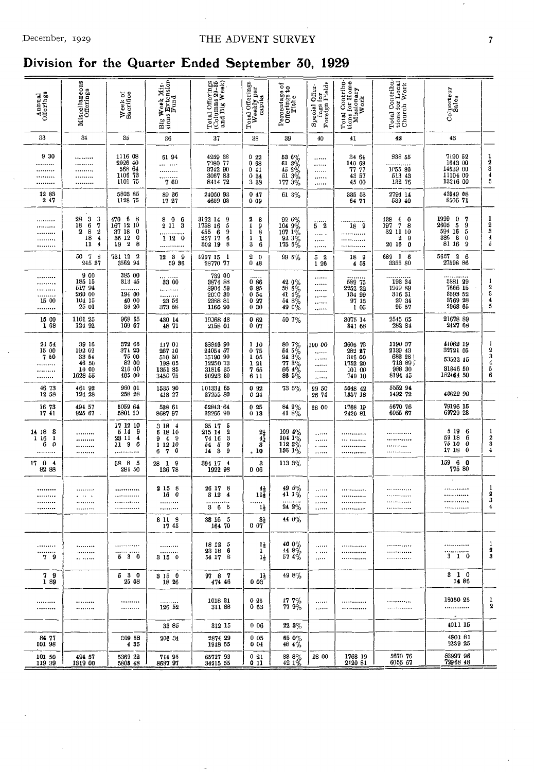## December, 1929 **THE ADVENT SURVEY** 7

## **Division for the Quarter Ended September 50, 1929**

| Annual<br>Offerings                                                     | Miscellaneous<br>Offerings                                                                                                         | Week of<br>Bacrifice                                                                         | Big Week Mis-                                              | Total Offerings<br>(Columns 29-35<br>and Big Week)                                                                  | Total Offerings<br>Weekly per<br>capita                               | Percentage of<br>Offerings to<br>Tithe                                                                                | ings for<br>Foreign Fields<br>Offer-<br>Special | $\begin{tabular}{ l l } \hline \texttt{Total Continel} \\ \hline \texttt{ions for Home} \\ \hline \texttt{Missionary} \\ \hline \texttt{Wock} \\ \hline \end{tabular}$ | Total Contribu-<br>tions for Local<br>Church Work                                        | Colporteur<br>Sales                                                                                  |                                                      |
|-------------------------------------------------------------------------|------------------------------------------------------------------------------------------------------------------------------------|----------------------------------------------------------------------------------------------|------------------------------------------------------------|---------------------------------------------------------------------------------------------------------------------|-----------------------------------------------------------------------|-----------------------------------------------------------------------------------------------------------------------|-------------------------------------------------|------------------------------------------------------------------------------------------------------------------------------------------------------------------------|------------------------------------------------------------------------------------------|------------------------------------------------------------------------------------------------------|------------------------------------------------------|
| 33                                                                      | 34                                                                                                                                 | 35                                                                                           | 36                                                         | 37                                                                                                                  | 38                                                                    | 39                                                                                                                    | 40                                              | 41                                                                                                                                                                     | 42                                                                                       | 43                                                                                                   |                                                      |
| 9 30<br><br><br><br>                                                    | <br><br><br><br>                                                                                                                   | 1116 08<br>2026 40<br>568 64<br>1101 75                                                      | 61 94<br><br><br><br>760                                   | 4259 38<br>7980 77<br>3742 90<br>3067 83<br>8414 72                                                                 | 022<br>068<br>0.41<br>0.34<br>3 3 9                                   | $\begin{array}{r} 53\ 6 \% \\ 61\ 3 \% \\ 45\ 2 \% \\ 51\ 3 \% \\ 177\ 3 \% \end{array}$                              | <br><br>1.1.1.1.1<br><br>                       | 34 64<br>140 68<br>77 77<br>43 57<br>45 00                                                                                                                             | 338 55<br>1055 80<br>513 43<br>132 76                                                    | 7190 52<br>1643 00<br>14539 00<br>11104 00<br>13216 00                                               | $\frac{1}{2}$<br>$\frac{3}{4}$<br>$\frac{4}{5}$      |
| 1283<br>247                                                             |                                                                                                                                    | 5803 85<br>1128 75                                                                           | 89 36<br>17 27                                             | 24060 93<br>4659 03                                                                                                 | 047<br>009                                                            | 61 3%                                                                                                                 |                                                 | 335 53<br>64 77                                                                                                                                                        | 2794 14<br>539 40                                                                        | 43949 08<br>8506 71                                                                                  |                                                      |
| <br><br><br><br>                                                        | 28<br>$\frac{3}{6}$<br>3<br>18<br>$\frac{7}{2}$<br>2<br>$\begin{array}{c} 8 \\ 18 \end{array}$<br>$\bf{4}$<br>11<br>$\overline{4}$ | - 6<br>470<br>- 8<br>167<br>12 10<br>37 18<br>0<br>0<br>36 12<br>$\boldsymbol{2}$<br>8<br>19 | 806<br>211<br>3<br><br>1120<br>                            | 3162 14<br>9<br>5<br>1758 16<br>455<br>$\begin{smallmatrix} 9 \\ 6 \end{smallmatrix}$<br>6<br>227 17<br>8<br>302 19 | 2<br>3<br>1<br>9<br>8<br>$\mathbf{1}$<br>1<br>1<br>3<br>6             | $\begin{array}{c} 92\ 6\% \\ 104\ 9\% \\ 107\ 1\% \\ 92\ 3\% \\ 175\ 6\% \end{array}$                                 | <br>52<br><br>$\cdots$<br>                      | <br>18 9<br><br><br>.                                                                                                                                                  | 438<br>$\frac{4}{7}$<br>$\bf{0}$<br>197<br>8<br>32 11 10<br>$\pmb{2}$<br>0<br>20 16<br>0 | 1999<br>0<br>7<br>2605<br>5<br>9<br>594 16<br>5<br>386<br>$\overline{\mathbf{3}}$<br>0<br>81 16<br>9 | 1<br>$\begin{array}{c} 2 \\ 3 \\ 4 \\ 5 \end{array}$ |
|                                                                         | 50 7<br>8<br>245 37                                                                                                                | 731 12<br>$\overline{\mathbf{2}}$<br>3562 94                                                 | $12$ 3 9<br>59 36                                          | 5907 15 1<br>28770 77                                                                                               | 2<br>$\bf{0}$<br>0<br>48                                              | 99 5%                                                                                                                 | 5 <sub>2</sub><br>126                           | 18 9<br>4 56                                                                                                                                                           | 689 1 6<br>3355 80                                                                       | 5667 2<br>- 6<br>27598 86                                                                            |                                                      |
| <br><br><br><br>15 00<br>                                               | 9 00<br>185 15<br>517 94<br>260 00<br>104 15<br>25 01                                                                              | 385 00<br>313 45<br>194 00<br>40 00<br>36 20                                                 | <br>33 00<br><br><br>23 56<br>373 58                       | 739 00<br>3874 83<br>8904 59<br>2000 30<br>2388 81<br>1160 90                                                       | 0 86<br>0.85<br>0.54<br>027<br>030                                    | $\begin{array}{l} 42\ 0 \%\ 58\ 6 \%\ 41\ 4 \%\ 54\ 8 \%\ 49\ 0 \%\end{array}$                                        | <br><br><br><br><br>                            | 589 75<br>2252 22<br>134 99<br>97 13<br>1 05                                                                                                                           | 193 34<br>1919 89<br>316 51<br>20 34<br>95 57                                            | 2881 29<br>7666 15<br>3393 52<br>3769 28<br>2963 65                                                  | $\frac{1}{2}$<br>4<br>5                              |
| 15 00<br>168                                                            | 1101 25<br>124 92                                                                                                                  | 968 65<br>109 67                                                                             | 430 14<br>48 71                                            | 19068 48<br>2158 01                                                                                                 | 062<br>0007                                                           | 50 7%                                                                                                                 |                                                 | 3075 14<br>841 68                                                                                                                                                      | 2545 65<br>282 84                                                                        | $2167889$<br>$242768$                                                                                |                                                      |
| 24 54<br>15 00<br>750<br><br>.<br>                                      | 39 16<br>192 02<br>33 54<br>46 50<br>10 00<br>1628 55                                                                              | 372 65<br>374 23<br>75 00<br>87 00<br>210 00<br>405 00                                       | 117 01<br>267 10<br>510 50<br>198 05<br>1351 85<br>3450 75 | 88846 90<br>24054 57<br>15190 90<br>12250 78<br>21916 95<br>31816 35<br>90923 80                                    | 110<br>075<br>1 05<br>121<br>765<br>6 11                              | $\begin{array}{l} 80 \ \ 7 \% \\ 54 \ \ 5 \% \\ 94 \ \ 3 \% \\ 77 \ \ 3 \% \\ 66 \ \ 4 \% \\ 86 \ \ 5 \% \end{array}$ | 100 00<br><br><br><br><br>                      | 2605 73<br>282 27<br>316 00<br>1752 20<br>101 00<br>740 10                                                                                                             | 1190 37<br>2139 43<br>682 28<br>713 89<br>988 30<br>8194 45                              | 44062 19<br>32721 05<br>53522 45<br>31846 50<br>182464 50                                            | 1<br>$\frac{2}{3}$<br>$\frac{4}{5}$<br>6             |
| 46 73<br>12 58                                                          | 461 92<br>124 28                                                                                                                   | 960 01<br>258 28                                                                             | 1535 90<br>413 27                                          | 101334 65<br>27255 83                                                                                               | 092<br>0 24                                                           | 73 5%                                                                                                                 | 99 50<br>26 74                                  | 5048 42<br>1357 18                                                                                                                                                     | 5552 94<br>1492 72                                                                       | 40622 90                                                                                             |                                                      |
| 16 73<br>1741                                                           | 494 57<br>925 67                                                                                                                   | 5059 64<br>5801 10                                                                           | 538 61<br>868797                                           | 62843 64<br>32266 90                                                                                                | 025<br>013                                                            | 84 9%<br>41 8%                                                                                                        | 28 00                                           | 1768 19<br>2420 81                                                                                                                                                     | 5670 76<br>6055 67                                                                       | 79196 15<br>69729 23                                                                                 |                                                      |
| 14 18 3<br>1 16<br>$\mathbf{1}$<br>$\boldsymbol{\mathfrak{o}}$<br>6<br> | <br><br><br>                                                                                                                       | 17 12 10<br>5 14<br>-9<br>23 11<br>$\overline{\mathbf{4}}$<br>11 <sub>9</sub><br>6           | 3 18 4<br>6 18 10<br>949<br>1 12 10<br>70<br>6             | 5<br>35 17<br>$\boldsymbol{2}$<br>215 14<br>74 16<br>39<br>9<br>54<br>$\frac{5}{3}$<br>14                           | $\begin{smallmatrix} 21\ 41 \ 41 \end{smallmatrix}$<br>3<br>.10       | $\begin{array}{c}\n109 \\ 104 \\ 1\% \\ 112 \\ 8\n\% \\ \end{array}$<br>156 $1\%$                                     | <br><br>$\ldots$<br>1.1.1.1.1                   | <br><br>                                                                                                                                                               | <br>                                                                                     | 5 19<br>6<br>59 18<br>6<br>75 10<br>0<br>17 18<br>0                                                  | 1<br>$\,2\,$<br>3<br>4                               |
| 17 0 4<br>82 88                                                         |                                                                                                                                    | 58 8 5<br>281 50                                                                             | $28$ 1 9<br>136 78                                         | 394 17 4<br>1922 98                                                                                                 | 3<br>006                                                              | 113 3%                                                                                                                |                                                 |                                                                                                                                                                        |                                                                                          | 159 6 0<br>775 80                                                                                    |                                                      |
| <br><br><br>                                                            | <br>$\cdots$<br><br>                                                                                                               | <br><br><br>                                                                                 | 2 15 8<br>160<br><br><br>3 11 8                            | 26 17 8<br>$\overline{\mathbf{4}}$<br>3 1 2<br>$3\overset{}{6}\overset{}{5}$<br>33 16 5                             | $4\frac{1}{2}$<br>$11\frac{7}{2}$<br>$1\frac{1}{2}$<br>$3\frac{1}{2}$ | $\frac{49}{41}\frac{5\%}{1\%}$<br>242%<br>44 0%                                                                       | .<br><br>.<br>                                  | <br><br><br>                                                                                                                                                           | <br><br>                                                                                 | <br><br>                                                                                             | 1<br>2<br>3<br>4                                     |
|                                                                         |                                                                                                                                    |                                                                                              | 17 45                                                      | 164 70                                                                                                              | 007                                                                   |                                                                                                                       |                                                 |                                                                                                                                                                        |                                                                                          |                                                                                                      |                                                      |
| <br>*********<br>79                                                     | <br><br>                                                                                                                           | <br><br>530                                                                                  | <br>.<br>3150                                              | 18 12 5<br>23 18 6<br>54 17 8                                                                                       | $\frac{1}{2}$<br>$1\frac{1}{2}$                                       | $400\%$<br>$448\%$<br>574%                                                                                            | .<br>$\ddotsc$<br>$\ldots$                      | <br><br>                                                                                                                                                               | <br><br>.                                                                                | <br>.<br>3 1 0                                                                                       | 1<br>2<br>3                                          |
| 79<br>189                                                               |                                                                                                                                    | 530<br>25 08                                                                                 | 3150<br>18 26                                              | 97 8 7<br>474 46                                                                                                    | 1,<br>003                                                             | 498%                                                                                                                  |                                                 |                                                                                                                                                                        |                                                                                          | $3\quad 1\quad 0$<br>14 86                                                                           |                                                      |
| <br>                                                                    | <br>*********                                                                                                                      | <br>                                                                                         | 126 52                                                     | 1018 21<br>311 88                                                                                                   | 0 25<br>063                                                           | 17 7%<br>77 9%                                                                                                        | <br>$\ldots$                                    | <br>                                                                                                                                                                   | <b></b><br>                                                                              | 19050 25<br>                                                                                         | 1<br>$\mathbf 2$                                     |
|                                                                         |                                                                                                                                    |                                                                                              | 33 85                                                      | 312 15                                                                                                              | 006                                                                   | $223\%$                                                                                                               |                                                 |                                                                                                                                                                        |                                                                                          | 4011 15                                                                                              |                                                      |
| 84 77<br>101 98                                                         |                                                                                                                                    | E09 58<br>4 35                                                                               | 206 34                                                     | 2874 29<br>1948 65                                                                                                  | 005<br>0 04                                                           | 65 0%<br>48 4%                                                                                                        |                                                 |                                                                                                                                                                        |                                                                                          | 480181<br>3239 25                                                                                    |                                                      |
| 101 50<br>119 39                                                        | 494 57<br>1319 00                                                                                                                  | 5369 22<br>5805 48                                                                           | 711 95<br>868797                                           | 65717 93<br>34215 55                                                                                                | 021<br>011                                                            | $\, \, 83 \, \, 8 \% \,$ 42 1%                                                                                        | 28 00                                           | 1768 19<br>2420 81                                                                                                                                                     | 5670 76<br>6055 67                                                                       | 83997 96<br>7296848                                                                                  |                                                      |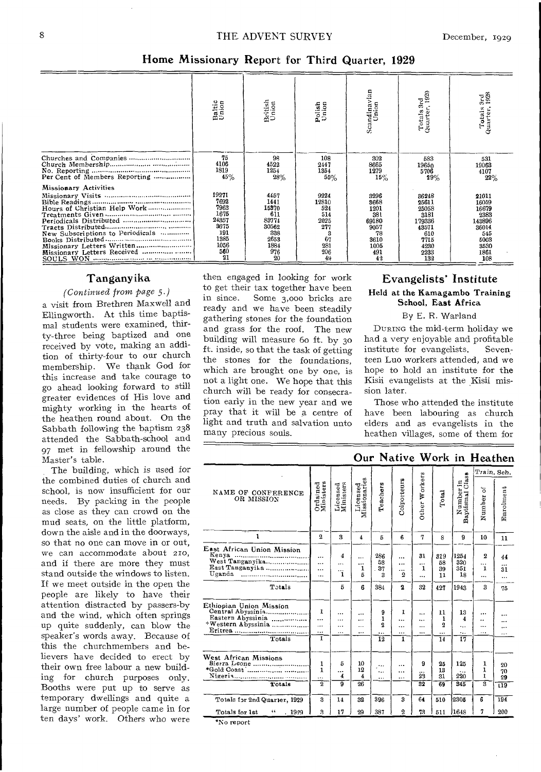### Home Missionary Report for Third Quarter, 1929

|                                  | Baltic<br>Union | British<br>Union | Polish<br>Union | Scandinavian<br>Union | Totals 3rd<br>Quarter, 1929 | Totals 3rd<br>Quarter, 1928 |
|----------------------------------|-----------------|------------------|-----------------|-----------------------|-----------------------------|-----------------------------|
|                                  |                 |                  |                 |                       |                             |                             |
|                                  | 75<br>4106      | 98<br>4522       | 108<br>2447     | 302<br>8665           | 583<br>19650                | 531<br>19063                |
|                                  | 1819            | 1254             | 1354            | 1279                  | 5706                        | 4107                        |
| Per Cent of Members Reporting    | 45%             | 28%              | 55%             | 15%                   | 29%                         | 22%                         |
| <b>Missionary Activities</b>     |                 |                  |                 |                       |                             |                             |
|                                  | 19271           | 4457             | 9224            | 3296                  | 36248                       | 21011                       |
|                                  | 7692<br>7963    | 1441             | 12810<br>524    | 8668                  | 25611                       | 16059                       |
| Hours of Christian Help Work     | 1675            | 15370<br>611     | 514             | 1201<br>381           | 25058<br>3181               | 16679<br>2383               |
|                                  | 24357           | 83774            | 2025            | 69180                 | 179336                      | 143896                      |
|                                  | 3675            | 30562            | 277             | 9057                  | 43571                       | 36014                       |
| New Subscriptions to Periodicals | 191             | 338              | 3               | 78                    | 610                         | 545                         |
|                                  | 1385            | 2653             | 67              | 3610                  | 7715                        | 5003                        |
| Missionary Letters Written       | 1056            | 1884             | 281             | 1005                  | 4230                        | 3530                        |
| Missionary Letters Received      | 560             | 976              | 206             | 491                   | 2233                        | 1861                        |
|                                  | 21              | 20               | 49              | 42                    | 132                         | 108                         |

## Tanganyika

#### (Continued from page 5.)

a visit from Brethren Maxwell and Ellingworth. At this time baptismal students were examined, thirty-three being baptized and one received by vote, making an addition of thirty-four to our church membership. We thank God for this increase and take courage to go ahead looking forward to still greater evidences of His love and mighty working in the hearts of the heathen round about. On the Sabbath following the baptism 238 attended the Sabbath-school and 97 met in fellowship around the Master's table.

The building, which is used for the combined duties of church and school, is now insufficient for our needs. By packing in the people as close as they can crowd on the mud seats, on the little platform, down the aisle and in the doorways, so that no one can move in or out, we can accommodate about 210, and if there are more they must stand outside the windows to listen. If we meet outside in the open the people are likely to have their attention distracted by passers-by and the wind, which often springs up quite suddenly, can blow the speaker's words away. Because of this the churchmembers and believers have decided to erect by their own free labour a new building for church purposes only. Booths were put up to serve as temporary dwellings and quite a large number of people came in for ten days' work. Others who were

then engaged in looking for work to get their tax together have been in since. Some 3,000 bricks are ready and we have been steadily gathering stones for the foundation and grass for the roof. The new building will measure 60 ft. by 30 ft. inside, so that the task of getting the stones for the foundations. which are brought one by one, is not a light one. We hope that this church will be ready for consecration early in the new year and we pray that it will be a centre of light and truth and salvation unto many precious souls.

## Evangelists' Institute Held at the Kamagambo Training School, East Africa

#### By E. R. Warland

DURING the mid-term holiday we had a very enjoyable and profitable institute for evangelists. Seventeen Luo workers attended, and we hope to hold an institute for the Kisii evangelists at the Kisii mission later.

Those who attended the institute have been labouring as church elders and as evangelists in the heathen villages, some of them for

## Our Native Work in Heathen

|                                                                                         |                                     |                                |                          |                                    |                                                  |                            |                                                  |                              |                                        | Train, Sch.                        |
|-----------------------------------------------------------------------------------------|-------------------------------------|--------------------------------|--------------------------|------------------------------------|--------------------------------------------------|----------------------------|--------------------------------------------------|------------------------------|----------------------------------------|------------------------------------|
| NAME OF CONFERENCE<br>OR MISSION                                                        | Ordained<br>Ministers               | Licensed<br>Ministers          | Licensed<br>Missionaries | Teachers                           | Colporteurs                                      | Other Workers              | Total                                            | Number in<br>Baptismal Class | Number of                              | Enrolment                          |
| 1                                                                                       | $\Omega$                            | я                              | $\overline{4}$           | 5                                  | 6                                                | 7                          | 8                                                | 9                            | 10                                     | 11                                 |
| East African Union Mission<br>Kenya<br>West Tanganyika<br>East Tanganyika<br>Uganda<br> | <br>$\ddotsc$<br>$\ddotsc$<br>      | 4<br><br><br>1                 | <br><br>1<br>5           | 286<br>53<br>37<br>3               | $\cdots$<br>$\cdots$<br>$\cdots$<br>$\mathbf{2}$ | 31<br>$\cdots$<br>1<br>    | 319<br>58<br>39<br>11                            | 1254<br>320<br>351<br>18     | 2<br><br>1<br>$\ddotsc$                | 44<br><br>31<br>$\cdots$           |
| Totals                                                                                  |                                     | 5                              | 6                        | 384                                | $\overline{\mathbf{2}}$                          | 32                         | 427                                              | 1943                         | 3                                      | 75                                 |
| Ethiopian Union Mission<br>Central Abyssinia<br>Totals                                  | ı<br>$\cdots$<br>$\cdots$<br><br>T. | <br><br><br>$\cdots$           | <br><br><br>             | 9<br>1<br>2<br><br>$\overline{12}$ | 1<br><br><br><br>ī                               | $\ddotsc$<br><br><br>      | 11<br>1<br>$\overline{2}$<br><br>$\overline{14}$ | 13<br>4<br>٠.,<br>٠.,<br>17  | <br><br><br>                           |                                    |
| Totals                                                                                  | 1<br>1<br><br>2                     | 5<br><br>$\overline{4}$<br>ত্র | 10<br>12<br>4<br>26      | <br><br>$\cdots$                   | <br>$\cdots$<br>$\cdots$                         | 9<br>$\overline{23}$<br>32 | 25<br>13<br>31<br>69                             | 125<br>220<br>345            | 1<br>1<br>1<br>$\overline{\mathbf{3}}$ | 20<br>70<br>29<br>$\overline{119}$ |
| Totals for 2nd Quarter, 1929                                                            | 3                                   | 14                             | 32                       | 396                                | 3                                                | 64                         | 510                                              | 2305                         | 6                                      | 194                                |
| Totals for 1st<br>66<br>.1929                                                           | З                                   | 17                             | 29                       | 387                                | $\overline{2}$                                   | 73                         | 511                                              | 11648                        | 7                                      | 200                                |
| *No report                                                                              |                                     |                                |                          |                                    |                                                  |                            |                                                  |                              |                                        |                                    |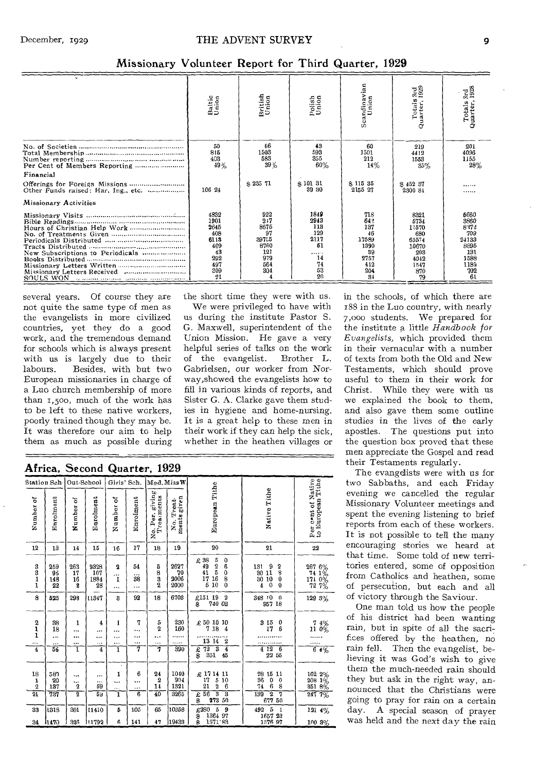|                                     | Baltic<br>Union                                                       | British<br>Union                                                      | polish<br>Union                                                | Scandinavian<br>Union                                                | eg<br>S<br>Totals:<br>Quarter, 1                                             | ន្តដឹ<br>Totals<br>Quarter,                                                |
|-------------------------------------|-----------------------------------------------------------------------|-----------------------------------------------------------------------|----------------------------------------------------------------|----------------------------------------------------------------------|------------------------------------------------------------------------------|----------------------------------------------------------------------------|
|                                     | 50<br>815<br>403<br>49%                                               | 66<br>1503<br>583<br>39%                                              | 43<br>593<br>355<br>60%                                        | 60<br>1501<br>212<br>14%                                             | 219<br>4412<br>1553<br>35%                                                   | 201<br>4096<br>1155<br>28%                                                 |
| Financial                           |                                                                       |                                                                       |                                                                |                                                                      |                                                                              |                                                                            |
| Other Funds raised: Har, Ing., etc. | 106 24                                                                | \$23571                                                               | \$10131<br>39 30                                               | \$11535<br>2155 27                                                   | $$452$ 37<br>2300 81                                                         | .<br>.                                                                     |
| Missionary Activities               |                                                                       |                                                                       |                                                                |                                                                      |                                                                              |                                                                            |
|                                     | 4832<br>1901<br>2645<br>408<br>6113<br>469<br>43<br>292<br>497<br>309 | 922<br>217<br>8675<br>97<br>39755<br>8760<br>121<br>979<br>564<br>304 | 1849<br>2943<br>113<br>129<br>2117<br>51<br><br>14<br>74<br>53 | 718<br>642<br>137<br>46<br>17589<br>1390<br>39<br>2757<br>412<br>204 | 8321<br>5734<br>11570<br>680<br>65574<br>10670<br>203<br>4042<br>1547<br>870 | 6660<br>3860<br>8372<br>709<br>24133<br>8895<br>131<br>1588<br>1189<br>702 |
|                                     | 21                                                                    |                                                                       | 20                                                             | 31                                                                   | 79                                                                           | 61                                                                         |

Missionary Volunteer Report for Third Quarter, 1929

several years. Of course they are not quite the same type of men as the evangelists in more civilized countries, yet they do a good work, and the tremendous demand for schools which is always present with us is largely due to their Besides, with but two labours. European missionaries in charge of a Luo church membership of more than 1,500, much of the work has to be left to these native workers, poorly trained though they may be. It was therefore our aim to help them as much as possible during

the short time they were with us.

We were privileged to have with us during the institute Pastor S. G. Maxwell, superintendent of the Union Mission. He gave a very helpful series of talks on the work of the evangelist. Brother L. Gabrielsen, our worker from Norway, showed the evangelists how to fill in various kinds of reports, and Sister G. A. Clarke gave them studies in hygiene and home-nursing. It is a great help to these men in their work if they can help the sick, whether in the heathen villages or in the schools, of which there are 188 in the Luo country, with nearly 7,000 students. We prepared for the institute a little Handbook for Evangelists, which provided them in their vernacular with a number of texts from both the Old and New Testaments, which should prove useful to them in their work for Christ. While they were with us we explained the book to them, and also gave them some outline studies in the lives of the early apostles. The questions put into the question box proved that these men appreciate the Gospel and read their Testaments regularly.

The evangelists were with us for two Sabbaths, and each Friday evening we cancelled the regular Missionary Volunteer meetings and spent the evening listening to brief reports from each of these workers. It is not possible to tell the many encouraging stories we heard at that time. Some told of new territories entered, some of opposition from Catholics and heathen, some of persecution, but each and all of victory through the Saviour.

One man told us how the people of his district had been wanting rain, but in spite of all the sacrifices offered by the heathen, no rain fell. Then the evangelist, believing it was God's wish to give them the much-needed rain should they but ask in the right way, announced that the Christians were going to pray for rain on a certain day. A special season of prayer was held and the next day the rain

| Africa, Second Quarter, 1929                     |                         |                                                            |                                    |                                                                  |                             |                                                    |                                    |                                                                                                                                                                                                         |                                                                                                                                                                                                                                                                                                                                                                                   |                                                                                       |
|--------------------------------------------------|-------------------------|------------------------------------------------------------|------------------------------------|------------------------------------------------------------------|-----------------------------|----------------------------------------------------|------------------------------------|---------------------------------------------------------------------------------------------------------------------------------------------------------------------------------------------------------|-----------------------------------------------------------------------------------------------------------------------------------------------------------------------------------------------------------------------------------------------------------------------------------------------------------------------------------------------------------------------------------|---------------------------------------------------------------------------------------|
|                                                  | Station Sch.            |                                                            | Out-School                         | Girls' Sch.                                                      |                             | Med.MissW                                          |                                    |                                                                                                                                                                                                         |                                                                                                                                                                                                                                                                                                                                                                                   |                                                                                       |
| Number of                                        | Enrolment               | Number of                                                  | Enrolment                          | Number of                                                        | Enrolment                   | No. Per. giving<br>Treasments<br>Per.              | No. Treat-<br>ments given          | European Tithe                                                                                                                                                                                          | Native Tithe                                                                                                                                                                                                                                                                                                                                                                      | Per cont of Native<br>to European Tithe                                               |
| 12                                               | 13                      | 14                                                         | 15                                 | 16                                                               | 17                          | 18                                                 | 19                                 | 20                                                                                                                                                                                                      | ${\bf 21}$                                                                                                                                                                                                                                                                                                                                                                        | 22                                                                                    |
| $\frac{3}{3}$<br>$\mathbf 1$<br>$\mathbf{1}$     | 259<br>96<br>148<br>22  | 263<br>17<br>16<br>2                                       | 9328<br>107<br>1884<br>28          | $\overline{\mathbf{2}}$<br>$\cdots$<br>$\mathbf{I}$<br>$\ddotsc$ | 54<br>38<br>                | 5<br>8<br>3<br>2                                   | 2627<br>70<br>2006<br>2000         | $\begin{array}{c} 2.38 \\ 49 \end{array}$<br>$\begin{smallmatrix}5\cr 2\cr 5\cr 16\end{smallmatrix}$<br>$\begin{smallmatrix}0\0\0\end{smallmatrix}$<br>41<br>$\theta$<br>17<br>8<br>5<br>10<br>$\Omega$ | $\begin{smallmatrix} 31 & 9 \\ 30 & 11 \end{smallmatrix}$<br>131<br>$_{\rm 8}^2$<br>3010<br>$\bf{0}$<br>$\mathbf 0$<br>$\bf{0}$<br>4                                                                                                                                                                                                                                              | $\begin{array}{c} 267\;\; 6\% \\ 74\;\; 1\% \\ 171\;\; 0\% \\ 72\;\; 7\% \end{array}$ |
| 8                                                | 525                     | 298                                                        | 11347                              | 8                                                                | 92                          | 18                                                 | 6703                               | £151 19<br>$\overline{2}$<br>740 02<br>$\overline{\mathbf{3}}$                                                                                                                                          | 348 10<br>$\sqrt{ }$<br>957 18                                                                                                                                                                                                                                                                                                                                                    | 129 3%                                                                                |
| $\frac{2}{1}$<br>1<br><br>4                      | 38<br>18<br><br><br>56  | ı<br><br><br>$\cdots$<br>ī                                 | 4<br><br>$\cdots$<br>$\cdots$<br>4 | 1<br><br><br><br>ī                                               | 7<br><br><br><br>7          | 5<br>$\overline{2}$<br><br>7                       | 230<br>160<br>390                  | $\pounds$ 50 10 10 10 7 18 4<br>13 14<br>$\overline{\mathbf{2}}$<br>$\frac{2}{3}$ $\frac{72}{3}$ $\frac{3}{2}$<br>4<br>45                                                                               | $\begin{array}{c} 3 \ \ 15 \\ 17 \end{array}$<br>0<br>6<br>- 6<br>$4 - 12$<br>22 55                                                                                                                                                                                                                                                                                               | $\begin{smallmatrix} 7 & 4\% \\ 11 & 0\% \end{smallmatrix}$<br>.<br>$6.4\%$           |
| 18<br>$\frac{1}{2}$<br>$\overline{\mathfrak{A}}$ | 587<br>20<br>137<br>737 | <br>$\ddotsc$<br>$\overline{\mathbf{2}}$<br>$\overline{2}$ | $\ddotsc$<br><br>59<br>59          | 1<br>$\cdots$<br><br>ī                                           | 6<br><br><br>$\overline{6}$ | $^{24}$<br>$\overline{2}$<br>14<br>$\overline{40}$ | 1040<br>$\frac{904}{1321}$<br>3265 | £171411<br>17<br>$\,$ 5<br>10<br>$\overline{21}$<br>2<br>6<br>75<br>56<br>-3<br>£<br>S<br>273 50                                                                                                        | 28 15 11<br>$\frac{36}{74}$<br>0<br>$\mathbf{0}$<br>6<br>8<br>$\overline{2}$<br>139<br>7<br>677 50                                                                                                                                                                                                                                                                                | $\begin{array}{c} 162 \ 2 \% \\ 208 \ 1 \% \\ 351 \ 8 \% \end{array}$<br>247.7%       |
| 33                                               | 1318                    | 301                                                        | 11410                              | Б                                                                | 105                         | 65                                                 | 10358                              | $\boldsymbol{9}$<br>1364 97                                                                                                                                                                             | $\begin{array}{r@{\hspace{0.5em}}c@{\hspace{0.5em}}c@{\hspace{0.5em}}c@{\hspace{0.5em}}c@{\hspace{0.5em}}c@{\hspace{0.5em}}c@{\hspace{0.5em}}c@{\hspace{0.5em}}c@{\hspace{0.5em}}c@{\hspace{0.5em}}c@{\hspace{0.5em}}c@{\hspace{0.5em}}c@{\hspace{0.5em}}c@{\hspace{0.5em}}c@{\hspace{0.5em}}c@{\hspace{0.5em}}c@{\hspace{0.5em}}c@{\hspace{0.5em}}c@{\hspace{0.5em}}c@{\hspace{$ | 121 4%                                                                                |
| 34                                               | h 470                   | 326                                                        | 11792                              | 6                                                                | 141                         | 47                                                 | 19433                              | 1571 83                                                                                                                                                                                                 | 1576 97                                                                                                                                                                                                                                                                                                                                                                           | 100 3%                                                                                |

#### $\mathbf{A} \cdot \mathbf{B}$  $1000$  $\sim$  $\sim$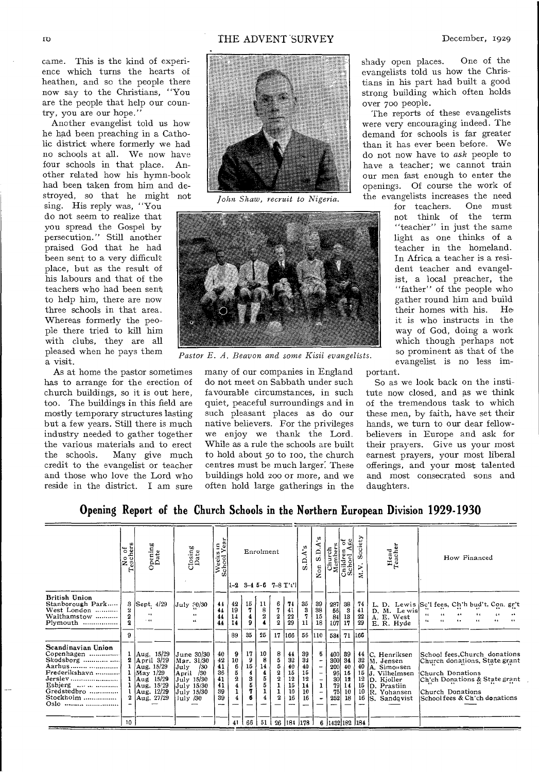came. This is the kind of experience which turns the hearts of heathen, and so the people there now say to the Christians, "You are the people that help our country, you are our hope."

Another evangelist told us how he had been preaching in a Catholic district where formerly we had no schools at all. We now have four schools in that place. Another related how his hymn-book had been taken from him and destroyed, so that he might not

sing. His reply was, "You do not seem to realize that you spread the Gospel by persecution." Still another praised God that he had been sent to a very difficult place, but as the result of his labours and that of the teachers who had been sent to help him, there are now three schools in that area. Whereas formerly the people there tried to kill him with clubs, they are all pleased when he pays them a visit.

As at home the pastor sometimes has to arrange for the erection of church buildings, so it is out here, too. The buildings in this field are mostly temporary structures lasting but a few years. Still there is much industry needed to gather together the various materials and to erect the schools. Many give much credit to the evangelist or teacher and those who love the Lord who reside in the district. I am sure



*John Shaw, recruit to Nigeria.* 



Pastor E. A. Beavon and some Kisii evangelists.

many of our companies in England do not meet on Sabbath under such favourable circumstances, in such quiet, peaceful surroundings and in such pleasant places as do our native believers. For the privileges we enjoy we thank the Lord. While as a rule the schools are built to hold about 5o to roo, the church centres must be much larger: These buildings hold 200 or more, and we often hold large gatherings in the shady open places. One of the evangelists told us how the Christians in his part had built a good strong building which often holds over 700 people.

The reports of these evangelists were very encouraging indeed. The demand for schools is far greater than it has ever been before. We do not now have to *ask* people to have a teacher; we cannot train our men fast enough to enter the openings. Of course the work of the evangelists increases the need

for teachers. One must not think of the term "teacher" in just the same light as one thinks of a teacher in the homeland. In Africa a teacher is a resident teacher and evangelist, a local preacher, the "father" of the people who gather round him and build<br>their homes with his. He their homes with his. it is who instructs in the way of God, doing a work which though perhaps not so prominent as that of the evangelist is no less important.

So as we look back on the institute now closed, and as we think of the tremendous task to which these men, by faith, have set their hands, we turn to our dear fellowbelievers in Europe and ask for their prayers. Give us your most earnest prayers, your most liberal offerings, and your most talented and most consecrated sons and daughters.

**Opening Report of the Church Schools in the Northern European Division 1929-1930** 

|                                                                                                                                                 | No of<br>Teachers                                | Opening<br>Date                                                                                             | Closing<br>Date                                                                                                    | Weeks in<br>School Year                                                | ö,<br>ð<br>Age<br>-c<br>Church<br>Members<br>A's<br>Children<br>School A<br>Enrolment<br>ω<br>ą<br>Non<br>w<br>$1-2$ 3-4 5-6 7-8 $T'$ . |                                |                              |                                                                                   |                                                                  | ociety<br>w<br>⋗<br>戻                                                              | Head<br>Teacher                                    | How Financed                                                                                                    |                                                             |                                              |                                                                                                                         |                                                                                                                                                                          |
|-------------------------------------------------------------------------------------------------------------------------------------------------|--------------------------------------------------|-------------------------------------------------------------------------------------------------------------|--------------------------------------------------------------------------------------------------------------------|------------------------------------------------------------------------|-----------------------------------------------------------------------------------------------------------------------------------------|--------------------------------|------------------------------|-----------------------------------------------------------------------------------|------------------------------------------------------------------|------------------------------------------------------------------------------------|----------------------------------------------------|-----------------------------------------------------------------------------------------------------------------|-------------------------------------------------------------|----------------------------------------------|-------------------------------------------------------------------------------------------------------------------------|--------------------------------------------------------------------------------------------------------------------------------------------------------------------------|
| British Union<br>Stanborough Park<br>West London<br>Walthamstow<br>Plymouth                                                                     | 3<br>$\overline{\mathbf{2}}$<br>$\mathbf 2$<br>9 | Sept. 4/29<br>$\ddot{\bullet}$<br>$-66$                                                                     | July ?0/30<br>$\bullet$<br>$\ddotsc$                                                                               | 44<br>44<br>44<br>44                                                   | 42<br>19<br>14<br>14<br>89                                                                                                              | $\frac{15}{7}$<br>4<br>9<br>35 | $\frac{11}{8}$<br>25         | 6<br>7<br>$\boldsymbol{2}$<br>$\overline{2}$<br>17                                | 74<br>41<br>22<br>29<br>166                                      | 35<br>3<br>11                                                                      | 39<br>38<br>15<br>18<br>56 110                     | $\begin{bmatrix} 287 \\ 56 \\ 84 \\ 107 \end{bmatrix}$<br>534                                                   | $\begin{smallmatrix} 38\\3\\13\\17 \end{smallmatrix}$<br>71 | 74<br>41<br>22<br>29<br>166                  | D. M. Lewis<br>A. E. West<br>E. R. Hyde                                                                                 | L. D. Lewis Sc'l fees, Ch'h bud't, Con. gr't<br><br>44<br>66<br>$\cdots$<br>$\epsilon$<br>$\ddot{\phantom{a}}$                                                           |
| Scandinavian Union<br>Copenhagen<br>Skodsborg<br>Aarhus<br>Frederikshavn<br>Jerslev<br>Esbjerg<br>Gredstedbro<br>Stockholm<br>Oslo.<br>$\cdots$ | 2<br>10 <sup>10</sup>                            | 1 Aug. 15/29<br>April 3/29<br>Aug. 15/29<br>May 1/29<br>Aug 15/29<br>Aug. 15/29<br>Aug. 12/29<br>Aug. 27/29 | June 30/30<br>Mar. 31/30<br>/30<br>July<br>/30<br>April<br>July 15/30<br>July 15/30<br>July 15/30<br>$1$ uly $/30$ | $\frac{40}{42}$<br>$\frac{42}{41}$<br>36<br>41<br>41<br>39<br>39<br>-- | 9<br>10<br>6<br>5<br>$\frac{2}{4}$<br>ı<br>$\overline{4}$<br>41                                                                         | 17<br>9<br>15<br>4<br>3<br>66  | 10<br>8<br>14<br>4<br>5<br>5 | 8<br>5<br>$\mathbf{5}$<br>$\boldsymbol{2}$<br>$\overline{\mathbf{2}}$<br>$\Omega$ | $\frac{44}{32}$<br>40<br>15<br>$\overline{12}$<br>15<br>10<br>16 | $\frac{39}{32}$<br>40<br>15<br>12<br>14<br>10<br>16<br>$51\mid 26\mid 181\mid 178$ | 5<br>-<br>-<br>-<br>$\mathbf{I}$<br>$\overline{a}$ | $\begin{bmatrix} 400 \\ 300 \\ 200 \end{bmatrix}$<br>$\frac{96}{30}$<br>79<br>75<br>252<br>6   1432   182   184 | 89<br>34<br>40<br>15<br>12<br>14<br>10<br>18                | 44<br>32<br>40<br>15<br>12<br>15<br>10<br>16 | lC. Henriksen<br>M. Jensen<br>A. Simonsen<br>lJ. Vilhelmsen<br>D. Kjoller<br>D. Prastiin<br>R. Yohansen<br>S. Sandqvist | School fees, Church donations<br>Church donations, State grant<br>Church Donations<br>Ch'ch Donations & State grant<br>Church Donations<br>School fees & Ch'ch donations |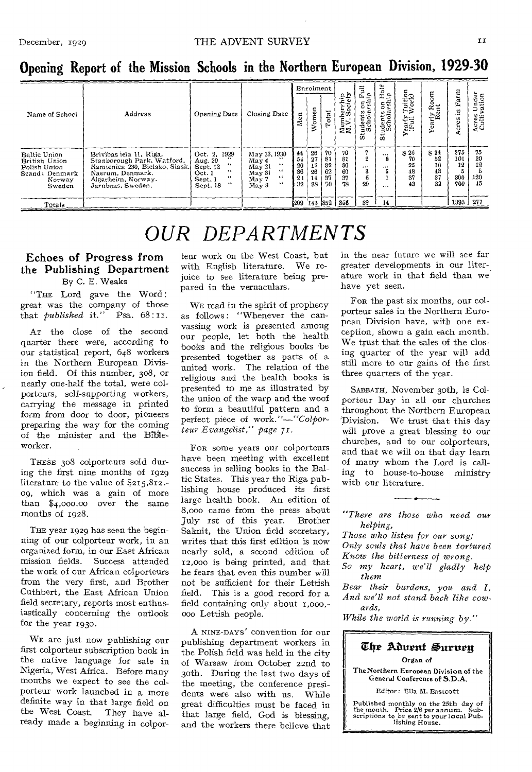| -                                                                                   |                                                                                                                                                        |                                                                                                                      |                                                                                                     |                                         |                                    |                                  |                                  |                                              |                                            |                                     |                                    |                                |                             |
|-------------------------------------------------------------------------------------|--------------------------------------------------------------------------------------------------------------------------------------------------------|----------------------------------------------------------------------------------------------------------------------|-----------------------------------------------------------------------------------------------------|-----------------------------------------|------------------------------------|----------------------------------|----------------------------------|----------------------------------------------|--------------------------------------------|-------------------------------------|------------------------------------|--------------------------------|-----------------------------|
| Name of School                                                                      |                                                                                                                                                        |                                                                                                                      |                                                                                                     | Enrolment                               |                                    |                                  |                                  | Ë<br>ចិន                                     | $H$ alf<br>ip                              |                                     | oom                                | Farm                           | nder<br>tion                |
|                                                                                     | Address                                                                                                                                                | Opening Date                                                                                                         | Closing Date                                                                                        | α<br>Me                                 | omen<br>š                          | Total                            | Membership<br>M.V. Society       | ទទឹ<br>ು ಮ<br>tudents<br>Schol<br>ō5         | $5\frac{1}{2}$<br>udents<br>ÜΩ             | Tuition<br>Work)<br>Yearly<br>(Full | Yearly Ro<br>Rent                  | Ξ.<br>Acres                    | ⊃ฐ<br>Acres<br>Culti        |
| Baltic Union<br>British Union<br>Polish Union<br>Scand: Denmark<br>Norway<br>Sweden | Brivibas iela 11. Riga.<br>Stanborough Park, Watford.<br>Kamienica 230, Bielsko, Slask.<br>Naerum. Denmark.<br>Algarheim, Norway.<br>Jarnboas, Sweden, | Oct. 2, 1929<br>Aug. 20<br>66<br>Sept. 12<br>$\ddot{\phantom{0}}$<br>Oct.1<br>66<br>Sept. 1<br>$15 - 15$<br>Sept. 18 | May 13, 1930<br>Max 4<br>$\cdots$<br>May 21<br>$\ddotsc$<br>$M$ ay 31<br>64<br>May 7<br>44<br>May 3 | $\frac{44}{54}$<br>20<br>36<br>23<br>32 | 26<br>27<br>12<br>26<br>14  <br>38 | 70<br>81<br>32<br>62<br>37<br>70 | 70<br>81<br>30<br>60<br>37<br>78 | 7<br>$\boldsymbol{2}$<br>$\cdots$<br>а<br>20 | $\cdots$<br>8<br>$\cdots$<br>5<br>$\cdots$ | S26<br>70<br>25<br>48<br>37<br>43   | 3.24<br>52<br>10<br>43<br>37<br>22 | 275<br>101<br>12<br>300<br>700 | 75<br>20<br>12<br>120<br>45 |
| Totals                                                                              |                                                                                                                                                        |                                                                                                                      |                                                                                                     | -209                                    | 143                                | 352                              | 356                              | 32                                           | 14                                         |                                     |                                    | 1393 277                       |                             |

**Opening Report of the Mission Schools in the Northern European Division, 1929-30** 

## *OUR DEPARTMENTS*

## Echoes of Progress from the Publishing Department By C. E. Weaks

"THE Lord gave the Word : great was the company of those<br>that *published* it." Psa.  $68:11$ . that *published* it."

AT the close of the second quarter there were, according to our statistical report, 648 workers in the Northern European Division field. Of this number, 308, or nearly one-half the total, were colporteurs, self-supporting workers, carrying the message in printed form from door to door, pioneers preparing the way for the coming of the minister and the Bibleworker.

THESE 308 colporteurs sold during the first nine months of 1929 literature to the value of \$215,812.- 09, which was a gain of more than \$4,000.00 over the same months of 1928.

THE year 1929 has seen the beginning of our colporteur work, in an organized form, in our East African mission fields. Success attended the work of our African colporteurs from the very first, and Brother Cuthbert, the East African Union field secretary, reports most enthusiastically concerning the outlook for the year 193o.

WE are just now publishing our first colporteur subscription book in the native language for sale in Nigeria, West Africa. Before many months we expect to see the colporteur work launched in a more definite way in that large field on<br>the West Coast. They have althe West Coast. ready made a beginning in colpor-

teur work on the West Coast, but with English literature. We rejoice to see literature being prepared in the vernaculars.

WE read in the spirit of prophecy as follows: "Whenever the canvassing work is presented among our people, let both the health books and the religious books be presented together as parts of a united work. The relation of the religious and the health books is presented to me as illustrated by the union of the warp and the woof to form a beautiful pattern and a perfect piece of work."—"Colpor*tear Evangelist," page 71.* 

FOR some years our colporteurs have been meeting with excellent success in selling books in the Baltic States. This year the Riga publishing house produced its first large health book. An edition of 8,000 came from the press about July 1st of this year. Brother Saknit, the Union field secretary, writes that this first edition is now nearly sold, a second edition of 12,00o is being printed, and that he fears that even this number will not be sufficient for their Lettish field. This is a good record for a field containing only about r,000,- 000 Lettish people.

A NINE-DAYS' convention for our publishing department workers in the Polish field was held in the city of Warsaw from October 22nd to 3oth. During the last two days of the meeting, the conference presidents were also with us. While great difficulties must be faced in that large field, God is blessing, and the workers there believe that

in the near future we will see far greater developments in our literature work in that field than we have yet seen.

FOR the past six months, our coIporteur sales in the Northern European Division have, with one exception, shown a gain each month. We trust that the sales of the closing quarter of the year will add still more to our gains of the first three quarters of the year.

SABBATH, November 3oth, is Colporteur Day in all our churches throughout the Northern European Division. We trust that this day will prove a great blessing to our churches, and to our colporteurs, and that we will on that day learn of many whom the Lord is calling to house-to-house ministry with our literature.

*"There are those who need our helping,* 

*Those who listen for our song;* 

*Only souls that have been tortured* 

*Know the bitterness of wrong. So my heart, we'll gladly help* 

*them* 

*Bear their burdens, you and I, And we'll not stand back like cowards,* 

*While the world is running by."* 

#### The Aduent Suruen Organ of The Northern European Division of the General Conference of S.D.A.

Editor: Ella M. Eastcott

Published monthly on the 25th day of the month. Price 2/0 per *annum.* Sub-scriptions to be sent to your local Pub-lishing House.